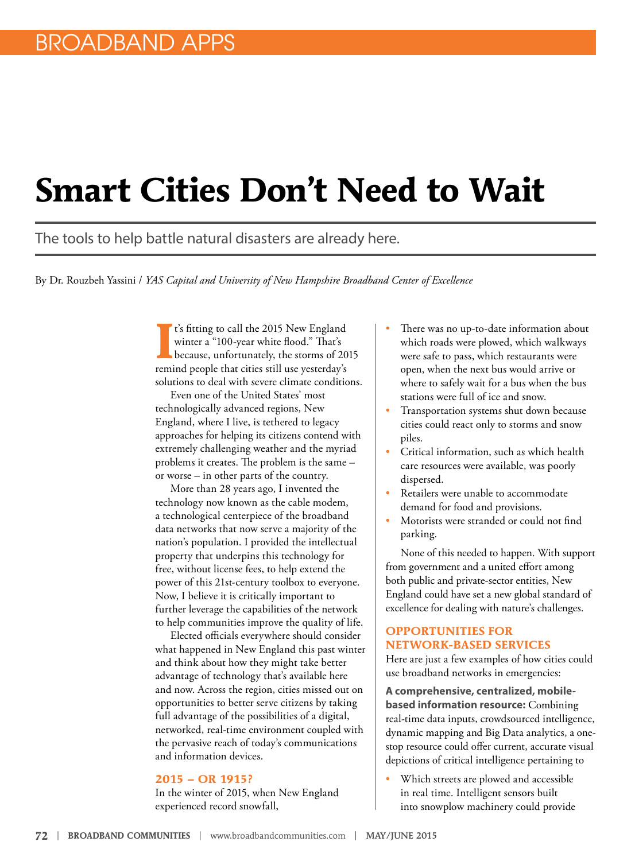# **Smart Cities Don't Need to Wait**

The tools to help battle natural disasters are already here.

By Dr. Rouzbeh Yassini / *YAS Capital and University of New Hampshire Broadband Center of Excellence*

**I**<sup>t's</sup> fitting to call the 2015 New England winter a "100-year white flood." That's because, unfortunately, the storms of 20 remind people that cities still use yesterday's t's fitting to call the 2015 New England winter a "100-year white flood." That's because, unfortunately, the storms of 2015 solutions to deal with severe climate conditions.

Even one of the United States' most technologically advanced regions, New England, where I live, is tethered to legacy approaches for helping its citizens contend with extremely challenging weather and the myriad problems it creates. The problem is the same – or worse – in other parts of the country.

More than 28 years ago, I invented the technology now known as the cable modem, a technological centerpiece of the broadband data networks that now serve a majority of the nation's population. I provided the intellectual property that underpins this technology for free, without license fees, to help extend the power of this 21st-century toolbox to everyone. Now, I believe it is critically important to further leverage the capabilities of the network to help communities improve the quality of life.

Elected officials everywhere should consider what happened in New England this past winter and think about how they might take better advantage of technology that's available here and now. Across the region, cities missed out on opportunities to better serve citizens by taking full advantage of the possibilities of a digital, networked, real-time environment coupled with the pervasive reach of today's communications and information devices.

#### **2015 – OR 1915?**

In the winter of 2015, when New England experienced record snowfall,

- There was no up-to-date information about which roads were plowed, which walkways were safe to pass, which restaurants were open, when the next bus would arrive or where to safely wait for a bus when the bus stations were full of ice and snow.
- Transportation systems shut down because cities could react only to storms and snow piles.
- Critical information, such as which health care resources were available, was poorly dispersed.
- Retailers were unable to accommodate demand for food and provisions.
- Motorists were stranded or could not find parking.

None of this needed to happen. With support from government and a united effort among both public and private-sector entities, New England could have set a new global standard of excellence for dealing with nature's challenges.

#### **OPPORTUNITIES FOR NETWORK-BASED SERVICES**

Here are just a few examples of how cities could use broadband networks in emergencies:

**A comprehensive, centralized, mobilebased information resource:** Combining real-time data inputs, crowdsourced intelligence, dynamic mapping and Big Data analytics, a onestop resource could offer current, accurate visual depictions of critical intelligence pertaining to

Which streets are plowed and accessible in real time. Intelligent sensors built into snowplow machinery could provide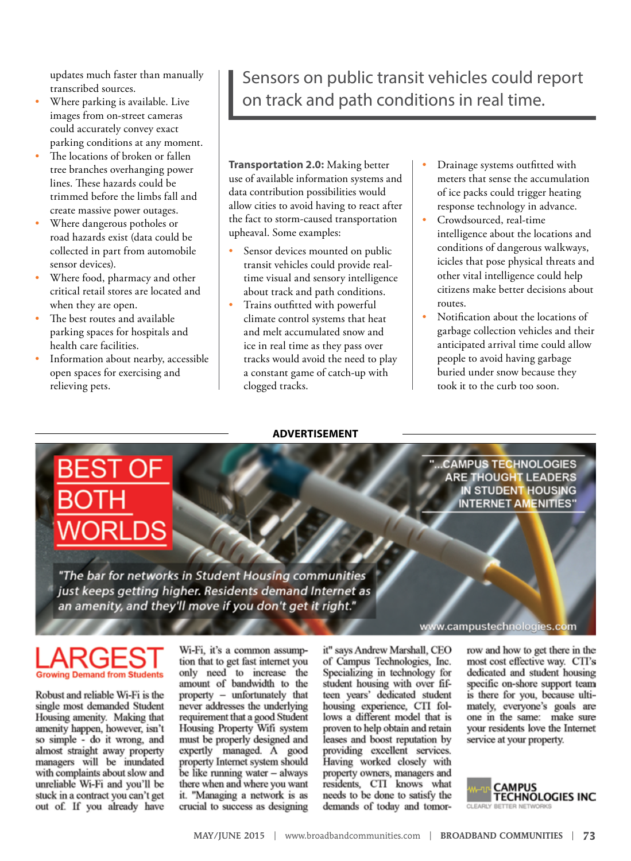updates much faster than manually transcribed sources.

- Where parking is available. Live images from on-street cameras could accurately convey exact parking conditions at any moment.
- The locations of broken or fallen tree branches overhanging power lines. These hazards could be trimmed before the limbs fall and create massive power outages.
- Where dangerous potholes or road hazards exist (data could be collected in part from automobile sensor devices).
- Where food, pharmacy and other critical retail stores are located and when they are open.
- The best routes and available parking spaces for hospitals and health care facilities.
- Information about nearby, accessible open spaces for exercising and relieving pets.

### Sensors on public transit vehicles could report on track and path conditions in real time.

**Transportation 2.0:** Making better use of available information systems and data contribution possibilities would allow cities to avoid having to react after the fact to storm-caused transportation upheaval. Some examples:

- Sensor devices mounted on public transit vehicles could provide realtime visual and sensory intelligence about track and path conditions.
- Trains outfitted with powerful climate control systems that heat and melt accumulated snow and ice in real time as they pass over tracks would avoid the need to play a constant game of catch-up with clogged tracks.

**ADVERTISEMENT**

- Drainage systems outfitted with meters that sense the accumulation of ice packs could trigger heating response technology in advance.
- Crowdsourced, real-time intelligence about the locations and conditions of dangerous walkways, icicles that pose physical threats and other vital intelligence could help citizens make better decisions about routes.
- Notification about the locations of garbage collection vehicles and their anticipated arrival time could allow people to avoid having garbage buried under snow because they took it to the curb too soon.

.CAMPUS TECHNOLOGIES **ARE THOUGHT LEADERS IN STUDENT HOUSING INTERNET AMENITIES"** 

"The bar for networks in Student Housing communities just keeps getting higher. Residents demand Internet as an amenity, and they'll move if you don't get it right."

www.campustechnologies.com

## rowing Demand from Students

Robust and reliable Wi-Fi is the single most demanded Student Housing amenity. Making that amenity happen, however, isn't so simple - do it wrong, and<br>almost straight away property managers will be inundated with complaints about slow and unreliable Wi-Fi and you'll be stuck in a contract you can't get out of. If you already have

Wi-Fi, it's a common assumption that to get fast internet you only need to increase the amount of bandwidth to the property - unfortunately that never addresses the underlying requirement that a good Student<br>Housing Property Wifi system must be properly designed and expertly managed. A good property Internet system should be like running water - always there when and where you want it. "Managing a network is as crucial to success as designing

it" says Andrew Marshall, CEO of Campus Technologies, Inc. Specializing in technology for student housing with over fifteen years' dedicated student housing experience, CTI follows a different model that is proven to help obtain and retain leases and boost reputation by providing excellent services. Having worked closely with property owners, managers and residents, CTI knows what needs to be done to satisfy the demands of today and tomorrow and how to get there in the most cost effective way. CTI's dedicated and student housing specific on-shore support team is there for you, because ultimately, everyone's goals are one in the same: make sure<br>your residents love the Internet service at your property.